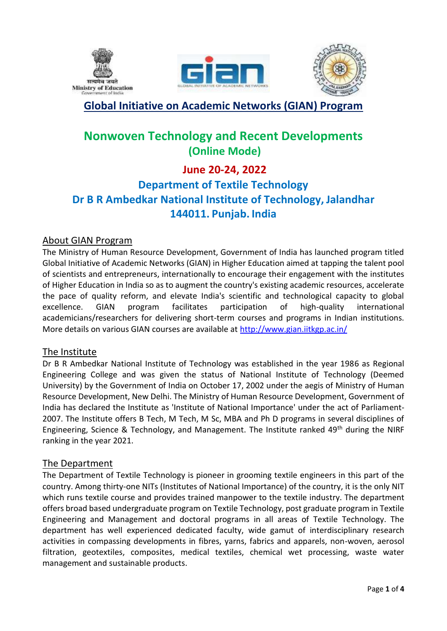





## **Global Initiative on Academic Networks (GIAN) Program**

# **Nonwoven Technology and Recent Developments (Online Mode)**

# **June 20-24, 2022**

# **Department of Textile Technology Dr B R Ambedkar National Institute of Technology, Jalandhar 144011. Punjab. India**

## About GIAN Program

The Ministry of Human Resource Development, Government of India has launched program titled Global Initiative of Academic Networks (GIAN) in Higher Education aimed at tapping the talent pool of scientists and entrepreneurs, internationally to encourage their engagement with the institutes of Higher Education in India so as to augment the country's existing academic resources, accelerate the pace of quality reform, and elevate India's scientific and technological capacity to global excellence. GIAN program facilitates participation of high-quality international academicians/researchers for delivering short-term courses and programs in Indian institutions. More details on various GIAN courses are available at<http://www.gian.iitkgp.ac.in/>

## The Institute

Dr B R Ambedkar National Institute of Technology was established in the year 1986 as Regional Engineering College and was given the status of National Institute of Technology (Deemed University) by the Government of India on October 17, 2002 under the aegis of Ministry of Human Resource Development, New Delhi. The Ministry of Human Resource Development, Government of India has declared the Institute as 'Institute of National Importance' under the act of Parliament-2007. The Institute offers B Tech, M Tech, M Sc, MBA and Ph D programs in several disciplines of Engineering, Science & Technology, and Management. The Institute ranked 49<sup>th</sup> during the NIRF ranking in the year 2021.

## The Department

The Department of Textile Technology is pioneer in grooming textile engineers in this part of the country. Among thirty-one NITs (Institutes of National Importance) of the country, it is the only NIT which runs textile course and provides trained manpower to the textile industry. The department offers broad based undergraduate program on Textile Technology, post graduate program in Textile Engineering and Management and doctoral programs in all areas of Textile Technology. The department has well experienced dedicated faculty, wide gamut of interdisciplinary research activities in compassing developments in fibres, yarns, fabrics and apparels, non-woven, aerosol filtration, geotextiles, composites, medical textiles, chemical wet processing, waste water management and sustainable products.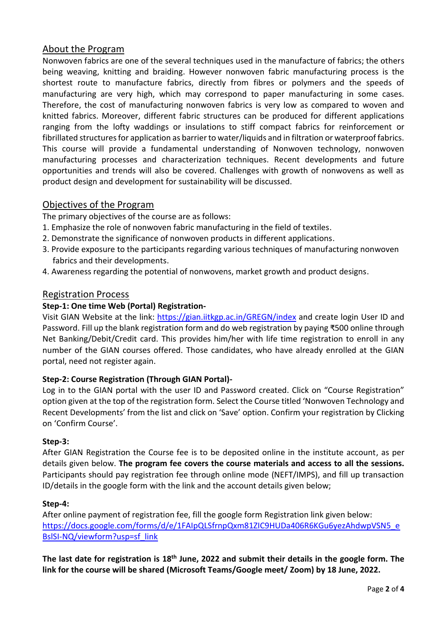## About the Program

Nonwoven fabrics are one of the several techniques used in the manufacture of fabrics; the others being weaving, knitting and braiding. However nonwoven fabric manufacturing process is the shortest route to manufacture fabrics, directly from fibres or polymers and the speeds of manufacturing are very high, which may correspond to paper manufacturing in some cases. Therefore, the cost of manufacturing nonwoven fabrics is very low as compared to woven and knitted fabrics. Moreover, different fabric structures can be produced for different applications ranging from the lofty waddings or insulations to stiff compact fabrics for reinforcement or fibrillated structures for application as barrier to water/liquids and in filtration or waterproof fabrics. This course will provide a fundamental understanding of Nonwoven technology, nonwoven manufacturing processes and characterization techniques. Recent developments and future opportunities and trends will also be covered. Challenges with growth of nonwovens as well as product design and development for sustainability will be discussed.

## Objectives of the Program

The primary objectives of the course are as follows:

- 1. Emphasize the role of nonwoven fabric manufacturing in the field of textiles.
- 2. Demonstrate the significance of nonwoven products in different applications.
- 3. Provide exposure to the participants regarding various techniques of manufacturing nonwoven fabrics and their developments.
- 4. Awareness regarding the potential of nonwovens, market growth and product designs.

## Registration Process

#### **Step-1: One time Web (Portal) Registration-**

Visit GIAN Website at the link: <https://gian.iitkgp.ac.in/GREGN/index> and create login User ID and Password. Fill up the blank registration form and do web registration by paying ₹500 online through Net Banking/Debit/Credit card. This provides him/her with life time registration to enroll in any number of the GIAN courses offered. Those candidates, who have already enrolled at the GIAN portal, need not register again.

## **Step-2: Course Registration (Through GIAN Portal)-**

Log in to the GIAN portal with the user ID and Password created. Click on "Course Registration" option given at the top of the registration form. Select the Course titled 'Nonwoven Technology and Recent Developments' from the list and click on 'Save' option. Confirm your registration by Clicking on 'Confirm Course'.

#### **Step-3:**

After GIAN Registration the Course fee is to be deposited online in the institute account, as per details given below. **The program fee covers the course materials and access to all the sessions.** Participants should pay registration fee through online mode (NEFT/IMPS), and fill up transaction ID/details in the google form with the link and the account details given below;

## **Step-4:**

After online payment of registration fee, fill the google form Registration link given below: [https://docs.google.com/forms/d/e/1FAIpQLSfrnpQxm81ZIC9HUDa406R6KGu6yezAhdwpVSN5\\_e](https://docs.google.com/forms/d/e/1FAIpQLSfrnpQxm81ZIC9HUDa406R6KGu6yezAhdwpVSN5_eBslSI-NQ/viewform?usp=sf_link) [BslSI-NQ/viewform?usp=sf\\_link](https://docs.google.com/forms/d/e/1FAIpQLSfrnpQxm81ZIC9HUDa406R6KGu6yezAhdwpVSN5_eBslSI-NQ/viewform?usp=sf_link)

**The last date for registration is 18 th June, 2022 and submit their details in the google form. The link for the course will be shared (Microsoft Teams/Google meet/ Zoom) by 18 June, 2022.**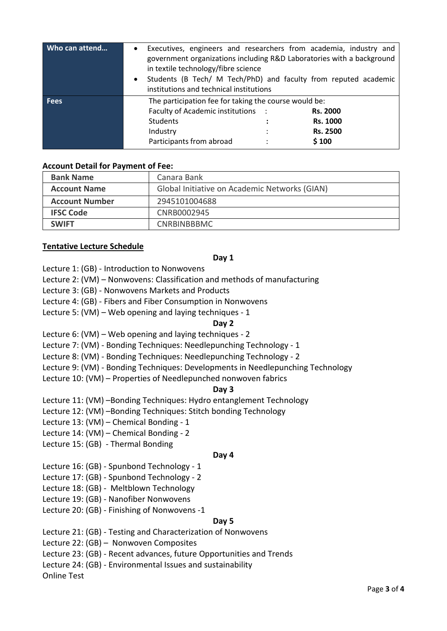| Who can attend | Executives, engineers and researchers from academia, industry and<br>government organizations including R&D Laboratories with a background<br>in textile technology/fibre science<br>Students (B Tech/ M Tech/PhD) and faculty from reputed academic<br>$\bullet$<br>institutions and technical institutions |                                                         |
|----------------|--------------------------------------------------------------------------------------------------------------------------------------------------------------------------------------------------------------------------------------------------------------------------------------------------------------|---------------------------------------------------------|
| <b>Fees</b>    | The participation fee for taking the course would be:<br>Faculty of Academic institutions :<br><b>Students</b><br>Industry<br>Participants from abroad                                                                                                                                                       | <b>Rs. 2000</b><br>Rs. 1000<br><b>Rs. 2500</b><br>\$100 |

#### **Account Detail for Payment of Fee:**

| <b>Bank Name</b>      | Canara Bank                                   |  |
|-----------------------|-----------------------------------------------|--|
| <b>Account Name</b>   | Global Initiative on Academic Networks (GIAN) |  |
| <b>Account Number</b> | 2945101004688                                 |  |
| <b>IFSC Code</b>      | CNRB0002945                                   |  |
| <b>SWIFT</b>          | <b>CNRBINBBBMC</b>                            |  |

#### **Tentative Lecture Schedule**

#### **Day 1**

Lecture 1: (GB) - [Introduction to Nonwovens](http://web.utk.edu/~mse/Textiles/Introduction%20to%20Nonwovens_0503.htm)

Lecture 2: (VM) – [Nonwovens:](http://web.utk.edu/~mse/Textiles/Introduction%20to%20Nonwovens_0503.htm) Classification and methods of manufacturing

Lecture 3: (GB) - Nonwovens Markets and Products

Lecture 4: (GB) - [Fibers and Fiber Consumption in Nonwovens](http://web.utk.edu/~mse/Textiles/Fiber%20and%20fiber%20consumption%20in%20nonwovens.htm)

Lecture 5: (VM) – Web opening and laying techniques - 1

#### **Day 2**

Lecture 6: (VM) – Web opening and laying techniques - 2

Lecture 7: (VM) - Bonding Techniques: Needlepunching Technology - 1

Lecture 8: (VM) - Bonding Techniques: Needlepunching Technology - 2

Lecture 9: (VM) - Bonding Techniques: Developments in Needlepunching Technology

Lecture 10: (VM) – Properties of Needlepunched nonwoven fabrics

#### **Day 3**

Lecture 11: (VM) –Bonding Techniques: Hydro entanglement Technology

Lecture 12: (VM) –Bonding Techniques: Stitch bonding Technology

Lecture 13: (VM) – Chemical Bonding - 1

Lecture 14: (VM) – Chemical Bonding - 2

Lecture 15: (GB) - Thermal Bonding

#### **Day 4**

Lecture 16: (GB) - [Spunbond Technology](http://web.utk.edu/~mse/Textiles/Spunbond%20Technology.htm) - 1

Lecture 17: (GB) - [Spunbond Technology](http://web.utk.edu/~mse/Textiles/Spunbond%20Technology.htm) - 2

Lecture 18: (GB) - Meltblown [Technology](http://web.utk.edu/~mse/Textiles/Spunbond%20Technology.htm)

Lecture 19: (GB) - [Nanofiber Nonwovens](http://web.utk.edu/~mse/Textiles/Nanofiber%20Nonwovens.htm)

Lecture 20: (GB) - Finishing of Nonwovens -1

#### **Day 5**

Lecture 21: (GB) - Testing and Characterization of Nonwovens

Lecture 22: (GB) – Nonwoven Composites

Lecture 23: (GB) - Recent advances, future Opportunities and Trends

Lecture 24: (GB) - Environmental Issues and sustainability

Online Test